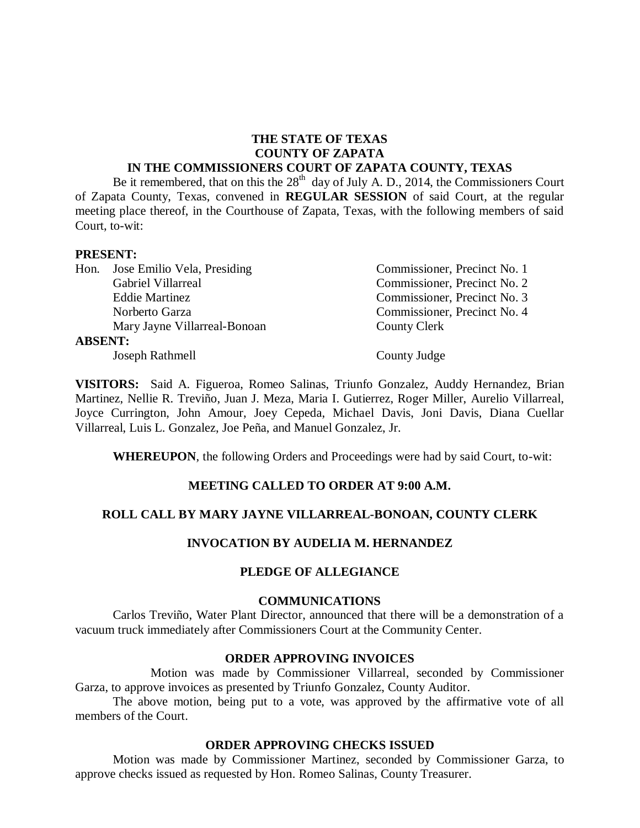# **THE STATE OF TEXAS COUNTY OF ZAPATA**

#### **IN THE COMMISSIONERS COURT OF ZAPATA COUNTY, TEXAS**

Be it remembered, that on this the  $28<sup>th</sup>$  day of July A. D., 2014, the Commissioners Court of Zapata County, Texas, convened in **REGULAR SESSION** of said Court, at the regular meeting place thereof, in the Courthouse of Zapata, Texas, with the following members of said Court, to-wit:

#### **PRESENT:**

|                | Hon. Jose Emilio Vela, Presiding | Commissioner, Precinct No. 1 |
|----------------|----------------------------------|------------------------------|
|                | Gabriel Villarreal               | Commissioner, Precinct No. 2 |
|                | <b>Eddie Martinez</b>            | Commissioner, Precinct No. 3 |
|                | Norberto Garza                   | Commissioner, Precinct No. 4 |
|                | Mary Jayne Villarreal-Bonoan     | County Clerk                 |
| <b>ABSENT:</b> |                                  |                              |
|                | Joseph Rathmell                  | County Judge                 |

**VISITORS:** Said A. Figueroa, Romeo Salinas, Triunfo Gonzalez, Auddy Hernandez, Brian Martinez, Nellie R. Treviño, Juan J. Meza, Maria I. Gutierrez, Roger Miller, Aurelio Villarreal, Joyce Currington, John Amour, Joey Cepeda, Michael Davis, Joni Davis, Diana Cuellar Villarreal, Luis L. Gonzalez, Joe Peña, and Manuel Gonzalez, Jr.

**WHEREUPON**, the following Orders and Proceedings were had by said Court, to-wit:

### **MEETING CALLED TO ORDER AT 9:00 A.M.**

#### **ROLL CALL BY MARY JAYNE VILLARREAL-BONOAN, COUNTY CLERK**

#### **INVOCATION BY AUDELIA M. HERNANDEZ**

#### **PLEDGE OF ALLEGIANCE**

#### **COMMUNICATIONS**

Carlos Treviño, Water Plant Director, announced that there will be a demonstration of a vacuum truck immediately after Commissioners Court at the Community Center.

#### **ORDER APPROVING INVOICES**

Motion was made by Commissioner Villarreal, seconded by Commissioner Garza, to approve invoices as presented by Triunfo Gonzalez, County Auditor.

The above motion, being put to a vote, was approved by the affirmative vote of all members of the Court.

#### **ORDER APPROVING CHECKS ISSUED**

Motion was made by Commissioner Martinez, seconded by Commissioner Garza, to approve checks issued as requested by Hon. Romeo Salinas, County Treasurer.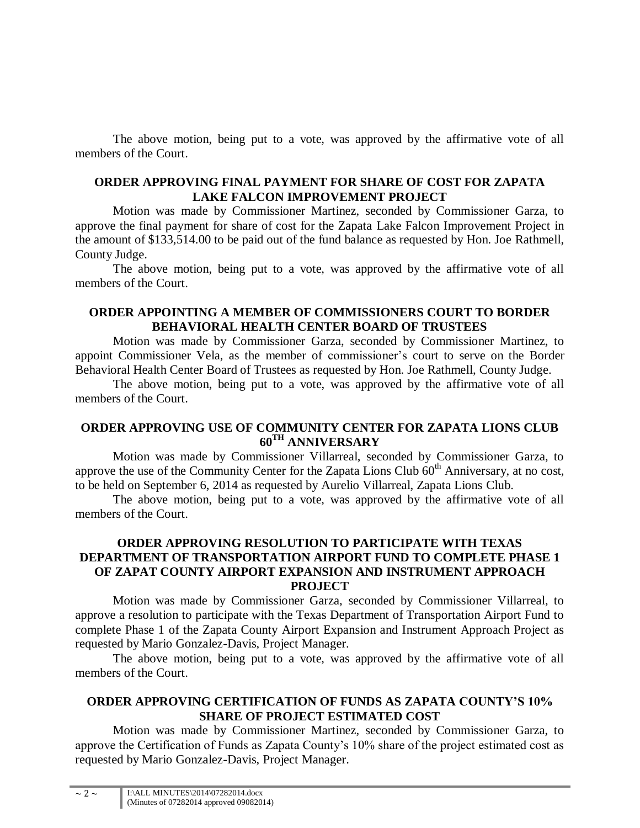The above motion, being put to a vote, was approved by the affirmative vote of all members of the Court.

## **ORDER APPROVING FINAL PAYMENT FOR SHARE OF COST FOR ZAPATA LAKE FALCON IMPROVEMENT PROJECT**

Motion was made by Commissioner Martinez, seconded by Commissioner Garza, to approve the final payment for share of cost for the Zapata Lake Falcon Improvement Project in the amount of \$133,514.00 to be paid out of the fund balance as requested by Hon. Joe Rathmell, County Judge.

The above motion, being put to a vote, was approved by the affirmative vote of all members of the Court.

### **ORDER APPOINTING A MEMBER OF COMMISSIONERS COURT TO BORDER BEHAVIORAL HEALTH CENTER BOARD OF TRUSTEES**

Motion was made by Commissioner Garza, seconded by Commissioner Martinez, to appoint Commissioner Vela, as the member of commissioner's court to serve on the Border Behavioral Health Center Board of Trustees as requested by Hon. Joe Rathmell, County Judge.

The above motion, being put to a vote, was approved by the affirmative vote of all members of the Court.

# **ORDER APPROVING USE OF COMMUNITY CENTER FOR ZAPATA LIONS CLUB 60TH ANNIVERSARY**

Motion was made by Commissioner Villarreal, seconded by Commissioner Garza, to approve the use of the Community Center for the Zapata Lions Club  $60<sup>th</sup>$  Anniversary, at no cost, to be held on September 6, 2014 as requested by Aurelio Villarreal, Zapata Lions Club.

The above motion, being put to a vote, was approved by the affirmative vote of all members of the Court.

## **ORDER APPROVING RESOLUTION TO PARTICIPATE WITH TEXAS DEPARTMENT OF TRANSPORTATION AIRPORT FUND TO COMPLETE PHASE 1 OF ZAPAT COUNTY AIRPORT EXPANSION AND INSTRUMENT APPROACH PROJECT**

Motion was made by Commissioner Garza, seconded by Commissioner Villarreal, to approve a resolution to participate with the Texas Department of Transportation Airport Fund to complete Phase 1 of the Zapata County Airport Expansion and Instrument Approach Project as requested by Mario Gonzalez-Davis, Project Manager.

The above motion, being put to a vote, was approved by the affirmative vote of all members of the Court.

# **ORDER APPROVING CERTIFICATION OF FUNDS AS ZAPATA COUNTY'S 10% SHARE OF PROJECT ESTIMATED COST**

Motion was made by Commissioner Martinez, seconded by Commissioner Garza, to approve the Certification of Funds as Zapata County's 10% share of the project estimated cost as requested by Mario Gonzalez-Davis, Project Manager.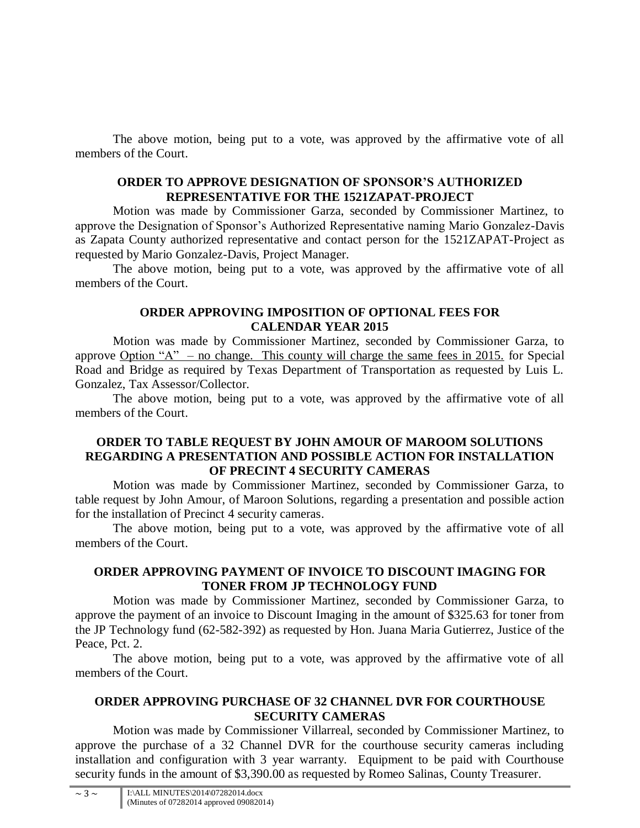The above motion, being put to a vote, was approved by the affirmative vote of all members of the Court.

## **ORDER TO APPROVE DESIGNATION OF SPONSOR'S AUTHORIZED REPRESENTATIVE FOR THE 1521ZAPAT-PROJECT**

Motion was made by Commissioner Garza, seconded by Commissioner Martinez, to approve the Designation of Sponsor's Authorized Representative naming Mario Gonzalez-Davis as Zapata County authorized representative and contact person for the 1521ZAPAT-Project as requested by Mario Gonzalez-Davis, Project Manager.

The above motion, being put to a vote, was approved by the affirmative vote of all members of the Court.

## **ORDER APPROVING IMPOSITION OF OPTIONAL FEES FOR CALENDAR YEAR 2015**

Motion was made by Commissioner Martinez, seconded by Commissioner Garza, to approve Option "A" – no change. This county will charge the same fees in 2015. for Special Road and Bridge as required by Texas Department of Transportation as requested by Luis L. Gonzalez, Tax Assessor/Collector.

The above motion, being put to a vote, was approved by the affirmative vote of all members of the Court.

## **ORDER TO TABLE REQUEST BY JOHN AMOUR OF MAROOM SOLUTIONS REGARDING A PRESENTATION AND POSSIBLE ACTION FOR INSTALLATION OF PRECINT 4 SECURITY CAMERAS**

Motion was made by Commissioner Martinez, seconded by Commissioner Garza, to table request by John Amour, of Maroon Solutions, regarding a presentation and possible action for the installation of Precinct 4 security cameras.

The above motion, being put to a vote, was approved by the affirmative vote of all members of the Court.

## **ORDER APPROVING PAYMENT OF INVOICE TO DISCOUNT IMAGING FOR TONER FROM JP TECHNOLOGY FUND**

Motion was made by Commissioner Martinez, seconded by Commissioner Garza, to approve the payment of an invoice to Discount Imaging in the amount of \$325.63 for toner from the JP Technology fund (62-582-392) as requested by Hon. Juana Maria Gutierrez, Justice of the Peace, Pct. 2.

The above motion, being put to a vote, was approved by the affirmative vote of all members of the Court.

# **ORDER APPROVING PURCHASE OF 32 CHANNEL DVR FOR COURTHOUSE SECURITY CAMERAS**

Motion was made by Commissioner Villarreal, seconded by Commissioner Martinez, to approve the purchase of a 32 Channel DVR for the courthouse security cameras including installation and configuration with 3 year warranty. Equipment to be paid with Courthouse security funds in the amount of \$3,390.00 as requested by Romeo Salinas, County Treasurer.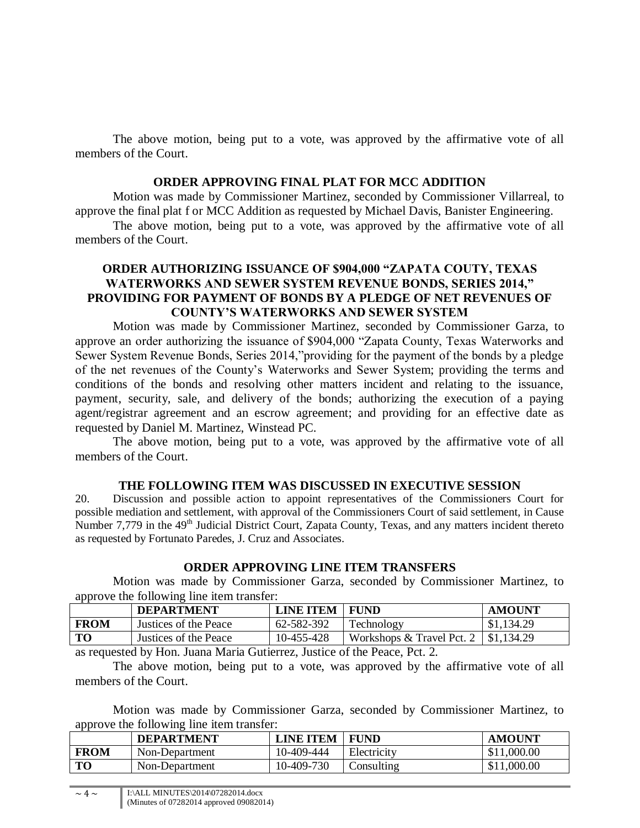The above motion, being put to a vote, was approved by the affirmative vote of all members of the Court.

#### **ORDER APPROVING FINAL PLAT FOR MCC ADDITION**

Motion was made by Commissioner Martinez, seconded by Commissioner Villarreal, to approve the final plat f or MCC Addition as requested by Michael Davis, Banister Engineering.

The above motion, being put to a vote, was approved by the affirmative vote of all members of the Court.

## **ORDER AUTHORIZING ISSUANCE OF \$904,000 "ZAPATA COUTY, TEXAS WATERWORKS AND SEWER SYSTEM REVENUE BONDS, SERIES 2014," PROVIDING FOR PAYMENT OF BONDS BY A PLEDGE OF NET REVENUES OF COUNTY'S WATERWORKS AND SEWER SYSTEM**

Motion was made by Commissioner Martinez, seconded by Commissioner Garza, to approve an order authorizing the issuance of \$904,000 "Zapata County, Texas Waterworks and Sewer System Revenue Bonds, Series 2014,"providing for the payment of the bonds by a pledge of the net revenues of the County's Waterworks and Sewer System; providing the terms and conditions of the bonds and resolving other matters incident and relating to the issuance, payment, security, sale, and delivery of the bonds; authorizing the execution of a paying agent/registrar agreement and an escrow agreement; and providing for an effective date as requested by Daniel M. Martinez, Winstead PC.

The above motion, being put to a vote, was approved by the affirmative vote of all members of the Court.

#### **THE FOLLOWING ITEM WAS DISCUSSED IN EXECUTIVE SESSION**

20. Discussion and possible action to appoint representatives of the Commissioners Court for possible mediation and settlement, with approval of the Commissioners Court of said settlement, in Cause Number 7,779 in the  $49<sup>th</sup>$  Judicial District Court, Zapata County, Texas, and any matters incident thereto as requested by Fortunato Paredes, J. Cruz and Associates.

### **ORDER APPROVING LINE ITEM TRANSFERS**

Motion was made by Commissioner Garza, seconded by Commissioner Martinez, to approve the following line item transfer:

|             | <b>DEPARTMENT</b>     | <b>LINE ITEM</b> | FUND                                       | <b>AMOUNT</b> |
|-------------|-----------------------|------------------|--------------------------------------------|---------------|
| <b>FROM</b> | Justices of the Peace | 62-582-392       | Technology                                 | \$1,134.29    |
| TO          | Justices of the Peace | 10-455-428       | Workshops & Travel Pct. $2 \mid $1,134.29$ |               |

as requested by Hon. Juana Maria Gutierrez, Justice of the Peace, Pct. 2.

The above motion, being put to a vote, was approved by the affirmative vote of all members of the Court.

Motion was made by Commissioner Garza, seconded by Commissioner Martinez, to approve the following line item transfer:

|             | <b>DEPARTMENT</b> | <b>LINE ITEM</b> | FUND        | <b>AMOUNT</b> |
|-------------|-------------------|------------------|-------------|---------------|
| <b>FROM</b> | Non-Department    | 10-409-444       | Electricity | \$11,000.00   |
| TО          | Non-Department    | 10-409-730       | Consulting  | \$11,000.00   |